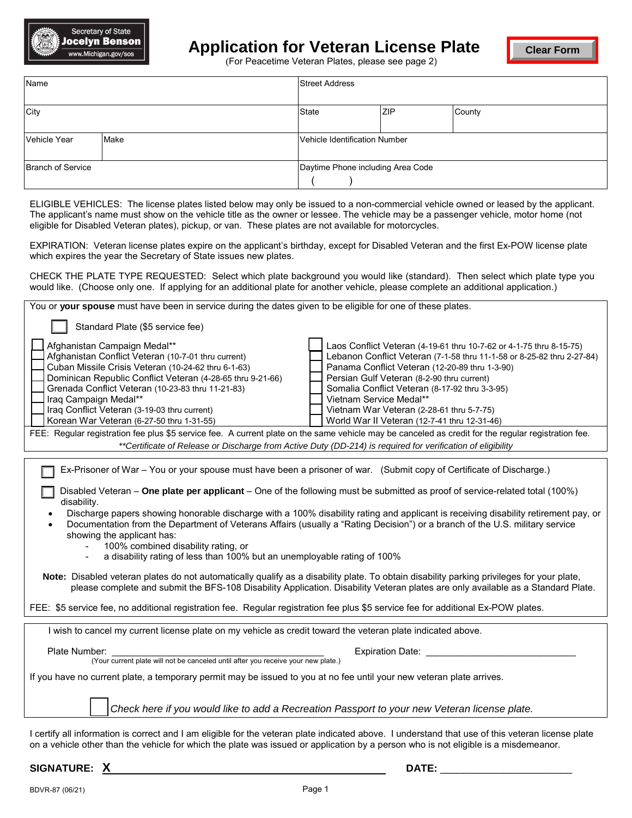

## **Application for Veteran License Plate**

**Clear Form**

(For Peacetime Veteran Plates, please see page 2)

| Name                     |      | <b>Street Address</b>             |            |        |
|--------------------------|------|-----------------------------------|------------|--------|
| City                     |      | <b>State</b>                      | <b>ZIP</b> | County |
| Vehicle Year             | Make | Vehicle Identification Number     |            |        |
| <b>Branch of Service</b> |      | Daytime Phone including Area Code |            |        |

 ELIGIBLE VEHICLES: The license plates listed below may only be issued to a non-commercial vehicle owned or leased by the applicant. The applicant's name must show on the vehicle title as the owner or lessee. The vehicle may be a passenger vehicle, motor home (not eligible for Disabled Veteran plates), pickup, or van. These plates are not available for motorcycles.

 EXPIRATION: Veteran license plates expire on the applicant's birthday, except for Disabled Veteran and the first Ex-POW license plate which expires the year the Secretary of State issues new plates.

CHECK THE PLATE TYPE REQUESTED: Select which plate background you would like (standard). Then select which plate type you would like. (Choose only one. If applying for an additional plate for another vehicle, please complete an additional application.)

| You or your spouse must have been in service during the dates given to be eligible for one of these plates.                                                                                                                                                                                                                                                                                                                                                                                                                                                                                                                                                                                                                                                                                                                                                                                                                                                                                                                                                                                                       |  |  |  |  |  |  |
|-------------------------------------------------------------------------------------------------------------------------------------------------------------------------------------------------------------------------------------------------------------------------------------------------------------------------------------------------------------------------------------------------------------------------------------------------------------------------------------------------------------------------------------------------------------------------------------------------------------------------------------------------------------------------------------------------------------------------------------------------------------------------------------------------------------------------------------------------------------------------------------------------------------------------------------------------------------------------------------------------------------------------------------------------------------------------------------------------------------------|--|--|--|--|--|--|
| Standard Plate (\$5 service fee)                                                                                                                                                                                                                                                                                                                                                                                                                                                                                                                                                                                                                                                                                                                                                                                                                                                                                                                                                                                                                                                                                  |  |  |  |  |  |  |
| Afghanistan Campaign Medal**<br>Laos Conflict Veteran (4-19-61 thru 10-7-62 or 4-1-75 thru 8-15-75)<br>Afghanistan Conflict Veteran (10-7-01 thru current)<br>Lebanon Conflict Veteran (7-1-58 thru 11-1-58 or 8-25-82 thru 2-27-84)<br>Cuban Missile Crisis Veteran (10-24-62 thru 6-1-63)<br>Panama Conflict Veteran (12-20-89 thru 1-3-90)<br>Dominican Republic Conflict Veteran (4-28-65 thru 9-21-66)<br>Persian Gulf Veteran (8-2-90 thru current)<br>Grenada Conflict Veteran (10-23-83 thru 11-21-83)<br>Somalia Conflict Veteran (8-17-92 thru 3-3-95)<br>Iraq Campaign Medal**<br>Vietnam Service Medal**<br>Iraq Conflict Veteran (3-19-03 thru current)<br>Vietnam War Veteran (2-28-61 thru 5-7-75)<br>Korean War Veteran (6-27-50 thru 1-31-55)<br>World War II Veteran (12-7-41 thru 12-31-46)                                                                                                                                                                                                                                                                                                    |  |  |  |  |  |  |
| FEE: Regular registration fee plus \$5 service fee. A current plate on the same vehicle may be canceled as credit for the regular registration fee.<br>**Certificate of Release or Discharge from Active Duty (DD-214) is required for verification of eligibility                                                                                                                                                                                                                                                                                                                                                                                                                                                                                                                                                                                                                                                                                                                                                                                                                                                |  |  |  |  |  |  |
| Ex-Prisoner of War - You or your spouse must have been a prisoner of war. (Submit copy of Certificate of Discharge.)<br>Disabled Veteran - One plate per applicant - One of the following must be submitted as proof of service-related total (100%)<br>disability.<br>Discharge papers showing honorable discharge with a 100% disability rating and applicant is receiving disability retirement pay, or<br>Documentation from the Department of Veterans Affairs (usually a "Rating Decision") or a branch of the U.S. military service<br>showing the applicant has:<br>100% combined disability rating, or<br>a disability rating of less than 100% but an unemployable rating of 100%<br>Note: Disabled veteran plates do not automatically qualify as a disability plate. To obtain disability parking privileges for your plate,<br>please complete and submit the BFS-108 Disability Application. Disability Veteran plates are only available as a Standard Plate.<br>FEE: \$5 service fee, no additional registration fee. Regular registration fee plus \$5 service fee for additional Ex-POW plates. |  |  |  |  |  |  |
| I wish to cancel my current license plate on my vehicle as credit toward the veteran plate indicated above.                                                                                                                                                                                                                                                                                                                                                                                                                                                                                                                                                                                                                                                                                                                                                                                                                                                                                                                                                                                                       |  |  |  |  |  |  |
| Plate Number:<br><b>Expiration Date:</b><br>(Your current plate will not be canceled until after you receive your new plate.)<br>If you have no current plate, a temporary permit may be issued to you at no fee until your new veteran plate arrives.                                                                                                                                                                                                                                                                                                                                                                                                                                                                                                                                                                                                                                                                                                                                                                                                                                                            |  |  |  |  |  |  |
| Check here if you would like to add a Recreation Passport to your new Veteran license plate.                                                                                                                                                                                                                                                                                                                                                                                                                                                                                                                                                                                                                                                                                                                                                                                                                                                                                                                                                                                                                      |  |  |  |  |  |  |

 I certify all information is correct and I am eligible for the veteran plate indicated above. I understand that use of this veteran license plate on a vehicle other than the vehicle for which the plate was issued or application by a person who is not eligible is a misdemeanor.

**SIGNATURE: X** 

 $\blacksquare$  DATE: